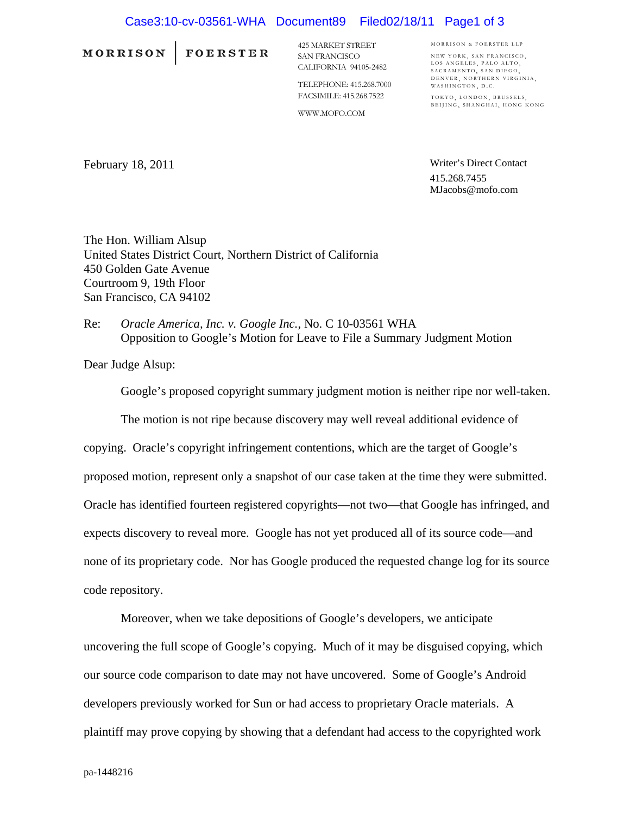## Case3:10-cv-03561-WHA Document89 Filed02/18/11 Page1 of 3

MORRISON | FOERSTER

425 MARKET STREET SAN FRANCISCO CALIFORNIA 94105-2482

TELEPHONE: 415.268.7000 FACSIMILE: 415.268.7522

WWW.MOFO.COM

MORRISON & FOERSTER LLP NEW YORK SAN FRANCISCO LOS ANGELES, PALO ALTO,<br>SACRAMENTO, SAN DIEGO, DENVER, NORTHERN VIRGINIA, WASHINGTON, D.C.

TOKYO, LONDON, BRUSSELS, BEIJING, SHANGHAI, HONG KONG

February 18, 2011

Writer's Direct Contact 415.268.7455 MJacobs@mofo.com

The Hon. William Alsup United States District Court, Northern District of California 450 Golden Gate Avenue Courtroom 9, 19th Floor San Francisco, CA 94102

Re: *Oracle America, Inc. v. Google Inc.*, No. C 10-03561 WHA Opposition to Google's Motion for Leave to File a Summary Judgment Motion

Dear Judge Alsup:

Google's proposed copyright summary judgment motion is neither ripe nor well-taken.

The motion is not ripe because discovery may well reveal additional evidence of

copying. Oracle's copyright infringement contentions, which are the target of Google's proposed motion, represent only a snapshot of our case taken at the time they were submitted. Oracle has identified fourteen registered copyrights—not two—that Google has infringed, and expects discovery to reveal more. Google has not yet produced all of its source code—and none of its proprietary code. Nor has Google produced the requested change log for its source code repository.

Moreover, when we take depositions of Google's developers, we anticipate uncovering the full scope of Google's copying. Much of it may be disguised copying, which our source code comparison to date may not have uncovered. Some of Google's Android developers previously worked for Sun or had access to proprietary Oracle materials. A plaintiff may prove copying by showing that a defendant had access to the copyrighted work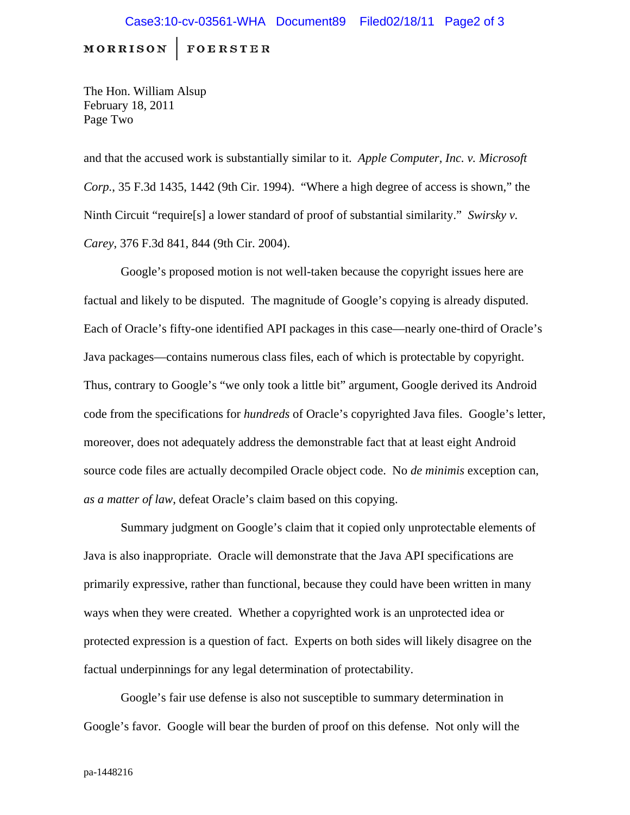**MORRISON FOERSTER** 

The Hon. William Alsup February 18, 2011 Page Two

and that the accused work is substantially similar to it. *Apple Computer, Inc. v. Microsoft Corp.*, 35 F.3d 1435, 1442 (9th Cir. 1994). "Where a high degree of access is shown," the Ninth Circuit "require[s] a lower standard of proof of substantial similarity." *Swirsky v. Carey*, 376 F.3d 841, 844 (9th Cir. 2004).

Google's proposed motion is not well-taken because the copyright issues here are factual and likely to be disputed. The magnitude of Google's copying is already disputed. Each of Oracle's fifty-one identified API packages in this case—nearly one-third of Oracle's Java packages—contains numerous class files, each of which is protectable by copyright. Thus, contrary to Google's "we only took a little bit" argument, Google derived its Android code from the specifications for *hundreds* of Oracle's copyrighted Java files. Google's letter, moreover, does not adequately address the demonstrable fact that at least eight Android source code files are actually decompiled Oracle object code. No *de minimis* exception can, *as a matter of law*, defeat Oracle's claim based on this copying.

Summary judgment on Google's claim that it copied only unprotectable elements of Java is also inappropriate. Oracle will demonstrate that the Java API specifications are primarily expressive, rather than functional, because they could have been written in many ways when they were created. Whether a copyrighted work is an unprotected idea or protected expression is a question of fact. Experts on both sides will likely disagree on the factual underpinnings for any legal determination of protectability.

Google's fair use defense is also not susceptible to summary determination in Google's favor. Google will bear the burden of proof on this defense. Not only will the